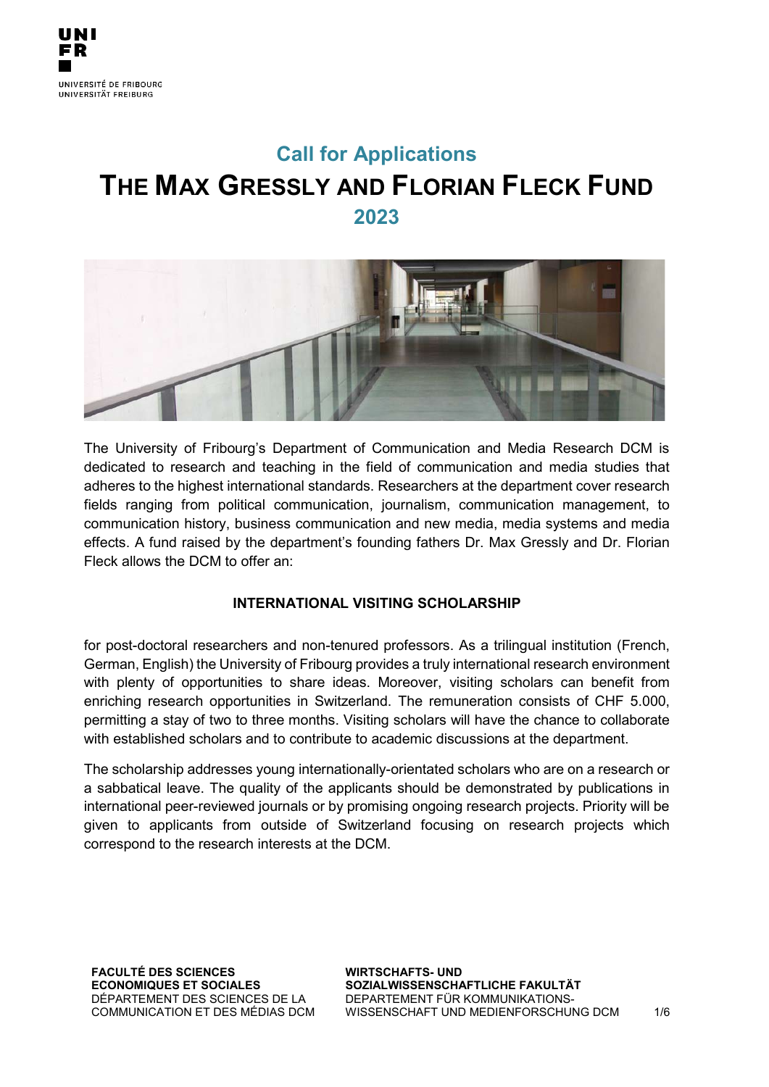# **Call for Applications THE MAX GRESSLY AND FLORIAN FLECK FUND 2023**



The University of Fribourg's Department of Communication and Media Research DCM is dedicated to research and teaching in the field of communication and media studies that adheres to the highest international standards. Researchers at the department cover research fields ranging from political communication, journalism, communication management, to communication history, business communication and new media, media systems and media effects. A fund raised by the department's founding fathers Dr. Max Gressly and Dr. Florian Fleck allows the DCM to offer an:

## **INTERNATIONAL VISITING SCHOLARSHIP**

for post-doctoral researchers and non-tenured professors. As a trilingual institution (French, German, English) the University of Fribourg provides a truly international research environment with plenty of opportunities to share ideas. Moreover, visiting scholars can benefit from enriching research opportunities in Switzerland. The remuneration consists of CHF 5.000, permitting a stay of two to three months. Visiting scholars will have the chance to collaborate with established scholars and to contribute to academic discussions at the department.

The scholarship addresses young internationally-orientated scholars who are on a research or a sabbatical leave. The quality of the applicants should be demonstrated by publications in international peer-reviewed journals or by promising ongoing research projects. Priority will be given to applicants from outside of Switzerland focusing on research projects which correspond to the research interests at the DCM.

**FACULTÉ DES SCIENCES ECONOMIQUES ET SOCIALES**  DÉPARTEMENT DES SCIENCES DE LA COMMUNICATION ET DES MÉDIAS DCM **WIRTSCHAFTS- UND SOZIALWISSENSCHAFTLICHE FAKULTÄT**  DEPARTEMENT FÜR KOMMUNIKATIONS-WISSENSCHAFT UND MEDIENFORSCHUNG DCM 1/6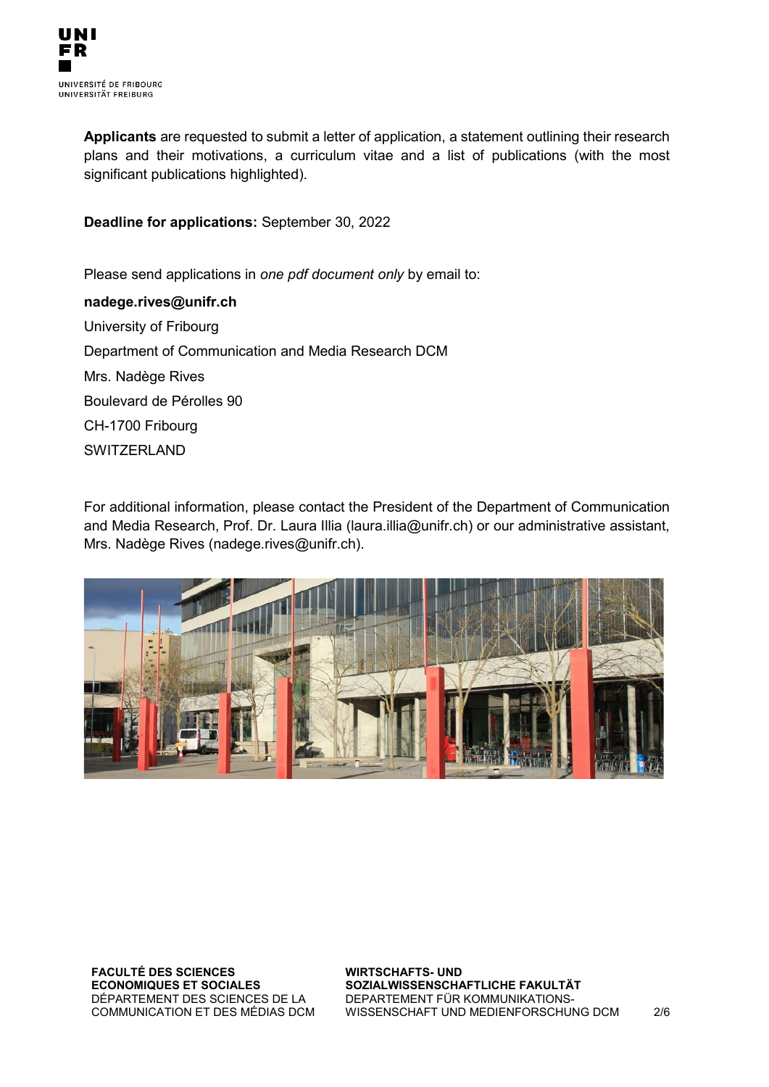**Applicants** are requested to submit a letter of application, a statement outlining their research plans and their motivations, a curriculum vitae and a list of publications (with the most significant publications highlighted).

**Deadline for applications:** September 30, 2022

Please send applications in *one pdf document only* by email to:

**nadege.rives@unifr.ch** University of Fribourg Department of Communication and Media Research DCM Mrs. Nadège Rives Boulevard de Pérolles 90 CH-1700 Fribourg **SWITZERLAND** 

For additional information, please contact the President of the Department of Communication and Media Research, Prof. Dr. Laura Illia (laura.illia@unifr.ch) or our administrative assistant, Mrs. Nadège Rives (nadege.rives@unifr.ch).



**FACULTÉ DES SCIENCES ECONOMIQUES ET SOCIALES**  DÉPARTEMENT DES SCIENCES DE LA COMMUNICATION ET DES MÉDIAS DCM **WIRTSCHAFTS- UND SOZIALWISSENSCHAFTLICHE FAKULTÄT**  DEPARTEMENT FÜR KOMMUNIKATIONS-WISSENSCHAFT UND MEDIENFORSCHUNG DCM 2/6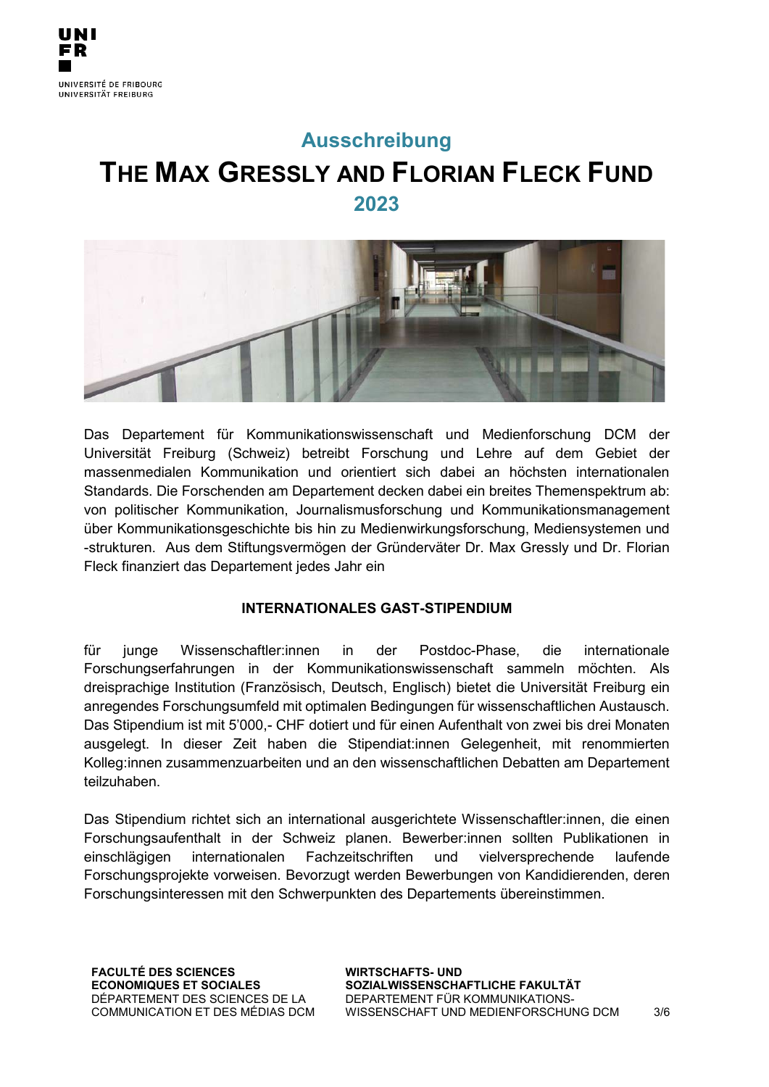

# **Ausschreibung THE MAX GRESSLY AND FLORIAN FLECK FUND 2023**



Das Departement für Kommunikationswissenschaft und Medienforschung DCM der Universität Freiburg (Schweiz) betreibt Forschung und Lehre auf dem Gebiet der massenmedialen Kommunikation und orientiert sich dabei an höchsten internationalen Standards. Die Forschenden am Departement decken dabei ein breites Themenspektrum ab: von politischer Kommunikation, Journalismusforschung und Kommunikationsmanagement über Kommunikationsgeschichte bis hin zu Medienwirkungsforschung, Mediensystemen und -strukturen. Aus dem Stiftungsvermögen der Gründerväter Dr. Max Gressly und Dr. Florian Fleck finanziert das Departement jedes Jahr ein

#### **INTERNATIONALES GAST-STIPENDIUM**

für junge Wissenschaftler:innen in der Postdoc-Phase, die internationale Forschungserfahrungen in der Kommunikationswissenschaft sammeln möchten. Als dreisprachige Institution (Französisch, Deutsch, Englisch) bietet die Universität Freiburg ein anregendes Forschungsumfeld mit optimalen Bedingungen für wissenschaftlichen Austausch. Das Stipendium ist mit 5'000,- CHF dotiert und für einen Aufenthalt von zwei bis drei Monaten ausgelegt. In dieser Zeit haben die Stipendiat:innen Gelegenheit, mit renommierten Kolleg:innen zusammenzuarbeiten und an den wissenschaftlichen Debatten am Departement teilzuhaben.

Das Stipendium richtet sich an international ausgerichtete Wissenschaftler:innen, die einen Forschungsaufenthalt in der Schweiz planen. Bewerber:innen sollten Publikationen in einschlägigen internationalen Fachzeitschriften und vielversprechende laufende Forschungsprojekte vorweisen. Bevorzugt werden Bewerbungen von Kandidierenden, deren Forschungsinteressen mit den Schwerpunkten des Departements übereinstimmen.

**FACULTÉ DES SCIENCES ECONOMIQUES ET SOCIALES**  DÉPARTEMENT DES SCIENCES DE LA COMMUNICATION ET DES MÉDIAS DCM **WIRTSCHAFTS- UND SOZIALWISSENSCHAFTLICHE FAKULTÄT**  DEPARTEMENT FÜR KOMMUNIKATIONS-WISSENSCHAFT UND MEDIENFORSCHUNG DCM 3/6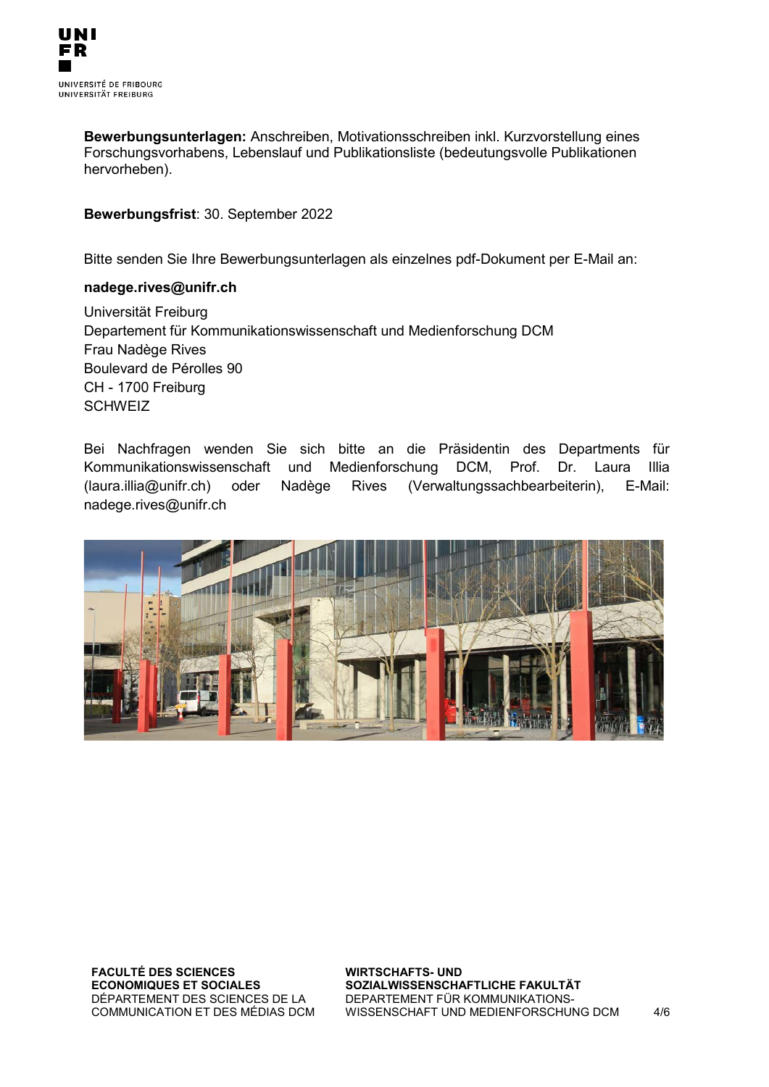

**Bewerbungsunterlagen:** Anschreiben, Motivationsschreiben inkl. Kurzvorstellung eines Forschungsvorhabens, Lebenslauf und Publikationsliste (bedeutungsvolle Publikationen hervorheben).

**Bewerbungsfrist**: 30. September 2022

Bitte senden Sie Ihre Bewerbungsunterlagen als einzelnes pdf-Dokument per E-Mail an:

#### **nadege.rives@unifr.ch**

Universität Freiburg Departement für Kommunikationswissenschaft und Medienforschung DCM Frau Nadège Rives Boulevard de Pérolles 90 CH - 1700 Freiburg **SCHWEIZ** 

Bei Nachfragen wenden Sie sich bitte an die Präsidentin des Departments für Kommunikationswissenschaft und Medienforschung DCM, Prof. Dr. Laura Illia (laura.illia@unifr.ch) oder Nadège Rives (Verwaltungssachbearbeiterin), E-Mail: nadege.rives@unifr.ch



**FACULTÉ DES SCIENCES ECONOMIQUES ET SOCIALES**  DÉPARTEMENT DES SCIENCES DE LA COMMUNICATION ET DES MÉDIAS DCM **WIRTSCHAFTS- UND SOZIALWISSENSCHAFTLICHE FAKULTÄT**  DEPARTEMENT FÜR KOMMUNIKATIONS-WISSENSCHAFT UND MEDIENFORSCHUNG DCM 4/6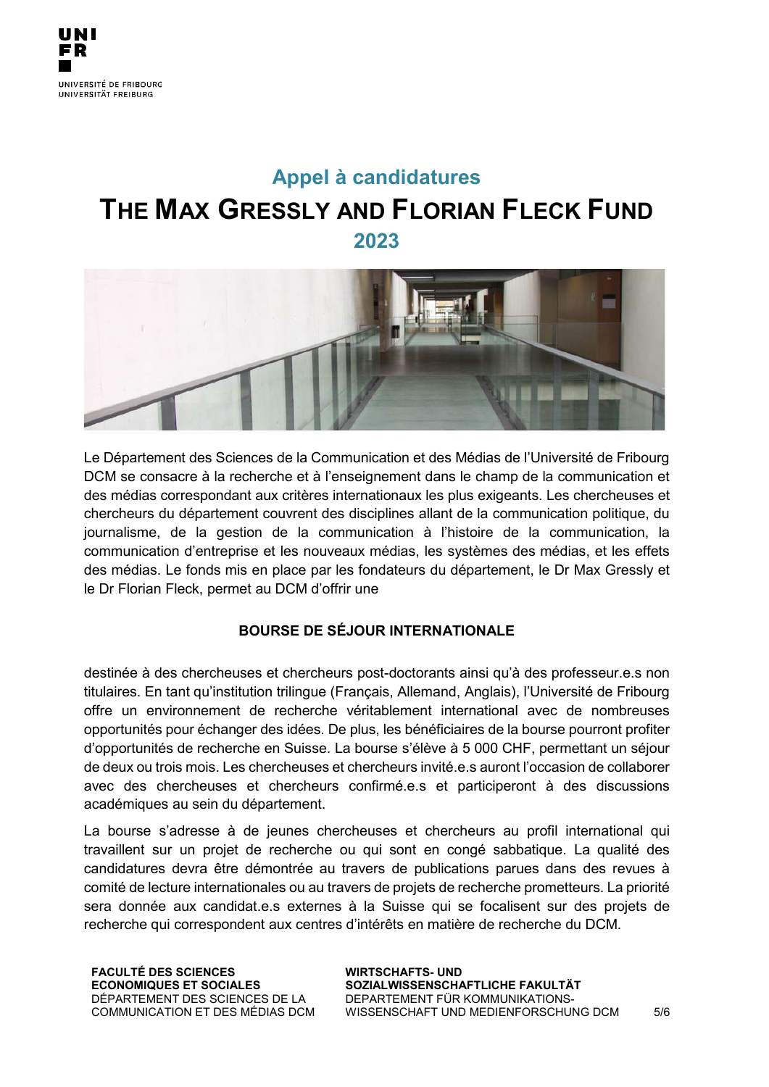# **Appel à candidatures THE MAX GRESSLY AND FLORIAN FLECK FUND 2023**



Le Département des Sciences de la Communication et des Médias de l'Université de Fribourg DCM se consacre à la recherche et à l'enseignement dans le champ de la communication et des médias correspondant aux critères internationaux les plus exigeants. Les chercheuses et chercheurs du département couvrent des disciplines allant de la communication politique, du journalisme, de la gestion de la communication à l'histoire de la communication, la communication d'entreprise et les nouveaux médias, les systèmes des médias, et les effets des médias. Le fonds mis en place par les fondateurs du département, le Dr Max Gressly et le Dr Florian Fleck, permet au DCM d'offrir une

## **BOURSE DE SÉJOUR INTERNATIONALE**

destinée à des chercheuses et chercheurs post-doctorants ainsi qu'à des professeur.e.s non titulaires. En tant qu'institution trilingue (Français, Allemand, Anglais), l'Université de Fribourg offre un environnement de recherche véritablement international avec de nombreuses opportunités pour échanger des idées. De plus, les bénéficiaires de la bourse pourront profiter d'opportunités de recherche en Suisse. La bourse s'élève à 5 000 CHF, permettant un séjour de deux ou trois mois. Les chercheuses et chercheurs invité.e.s auront l'occasion de collaborer avec des chercheuses et chercheurs confirmé.e.s et participeront à des discussions académiques au sein du département.

La bourse s'adresse à de jeunes chercheuses et chercheurs au profil international qui travaillent sur un projet de recherche ou qui sont en congé sabbatique. La qualité des candidatures devra être démontrée au travers de publications parues dans des revues à comité de lecture internationales ou au travers de projets de recherche prometteurs. La priorité sera donnée aux candidat.e.s externes à la Suisse qui se focalisent sur des projets de recherche qui correspondent aux centres d'intérêts en matière de recherche du DCM.

**FACULTÉ DES SCIENCES ECONOMIQUES ET SOCIALES**  DÉPARTEMENT DES SCIENCES DE LA COMMUNICATION ET DES MÉDIAS DCM **WIRTSCHAFTS- UND SOZIALWISSENSCHAFTLICHE FAKULTÄT**  DEPARTEMENT FÜR KOMMUNIKATIONS-WISSENSCHAFT UND MEDIENFORSCHUNG DCM 5/6